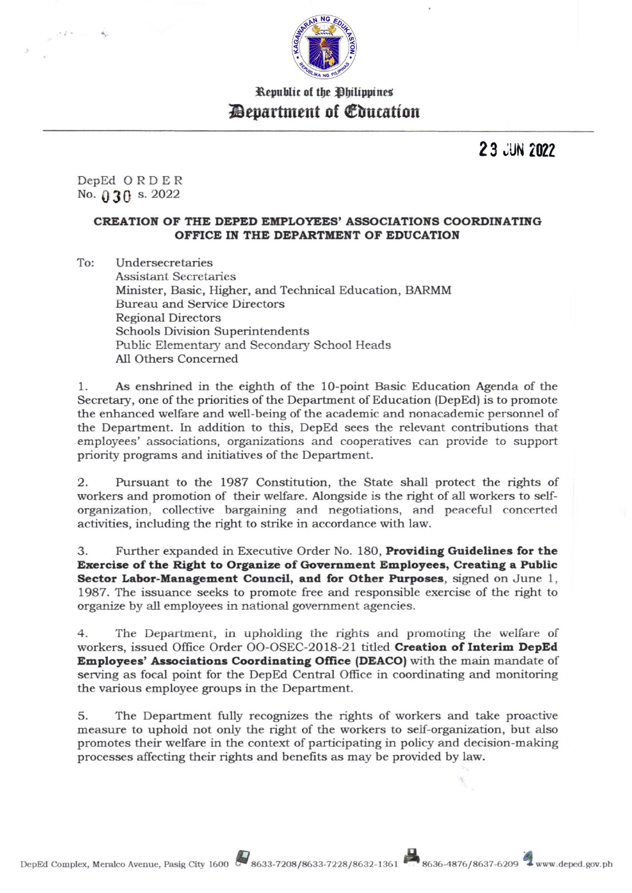

Republic of the Philippines *Department of Education* 

23 JUN 2022

DepEd ORDER No.  $0.30$  s. 2022

#### CREATION OF THE DEPED EMPLOYEES' ASSOCIATIONS COORDINATING OFFICE IN THE DEPARTMENT OF EDUCATION

To: Undersecretaries **Assistant Secretaries** Minister, Basic, Higher, and Technical Education, BARMM **Bureau and Service Directors Regional Directors Schools Division Superintendents** Public Elementary and Secondary School Heads All Others Concerned

As enshrined in the eighth of the 10-point Basic Education Agenda of the 1. Secretary, one of the priorities of the Department of Education (DepEd) is to promote the enhanced welfare and well-being of the academic and nonacademic personnel of the Department. In addition to this, DepEd sees the relevant contributions that employees' associations, organizations and cooperatives can provide to support priority programs and initiatives of the Department.

Pursuant to the 1987 Constitution, the State shall protect the rights of 2. workers and promotion of their welfare. Alongside is the right of all workers to selforganization, collective bargaining and negotiations, and peaceful concerted activities, including the right to strike in accordance with law.

Further expanded in Executive Order No. 180, Providing Guidelines for the 3. Exercise of the Right to Organize of Government Employees, Creating a Public Sector Labor-Management Council, and for Other Purposes, signed on June 1, 1987. The issuance seeks to promote free and responsible exercise of the right to organize by all employees in national government agencies.

 $4.$ The Department, in upholding the rights and promoting the welfare of workers, issued Office Order OO-OSEC-2018-21 titled Creation of Interim DepEd Employees' Associations Coordinating Office (DEACO) with the main mandate of serving as focal point for the DepEd Central Office in coordinating and monitoring the various employee groups in the Department.

The Department fully recognizes the rights of workers and take proactive 5. measure to uphold not only the right of the workers to self-organization, but also promotes their welfare in the context of participating in policy and decision-making processes affecting their rights and benefits as may be provided by law.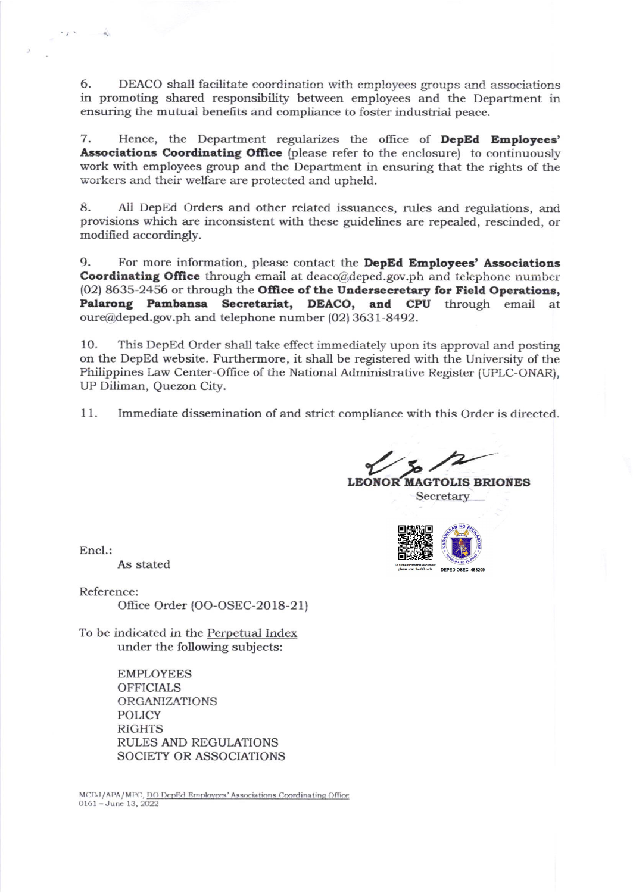6. DEACO shall facilitate coordination with employees groups and associations in promoting shared responsibility between employees and the Department in ensuring the mutual benefts and compliance to foster industrial peace.

7. Hence, the Department regularizes the office of **DepEd Employees'** Associations Coordinating Office (please refer to the enclosure) to continuously work with employees group and the Department in ensuring that the rights of the workers and their welfare are protected and upheld.

8. All DepEd Orders and other related issuances, rules and regulations, and provisions which are inconsistent with these guidelines are repealed, rescinded, or modified accordingly.

9. For more information, please contact the **DepEd Employees' Associations Coordinating Office** through email at  $deaco@deped.gov.php$  and telephone number (02) 8635-2456 or through the Office of the Undersecretary for Field Operations, Palarong Pambansa Secretariat, DEACO, and CPU through email at oure@deped.gov.ph and telephone number (02) 3631-8492.

10. This DepEd Order shall take effect immediately upon its approval and posting on the DepEd website. Furthermore, it shall be registered with the University of the Philippines Law Center-Office of the National Administrative Register (UPLC-ONAR), UP Diliman, Quezon City.

11. Immediate dissemination of and strict compliance with this Order is directed.

**LEONOR MAGTOLIS BRIONES** 

Secretary

DEPED-OSEC-463209

Encl.:

 $\sim$   $\mu$   $\sim$ 

As stated

Reference: Office Order (OO-OSEC-2O 18-2 <sup>1</sup>)

To be indicated in the Perpetual Index under the following subjects:

> EMPLOYEES **OFFICIALS** ORGANIZATIONS POLICY RiGHTS RULES AND REGULATIONS SOCIETY OR ASSOCIATIONS

MCDJ/APA/MPC, DO DepEd Employees' Associations Coordinating Office 016l -Junc 13, 2022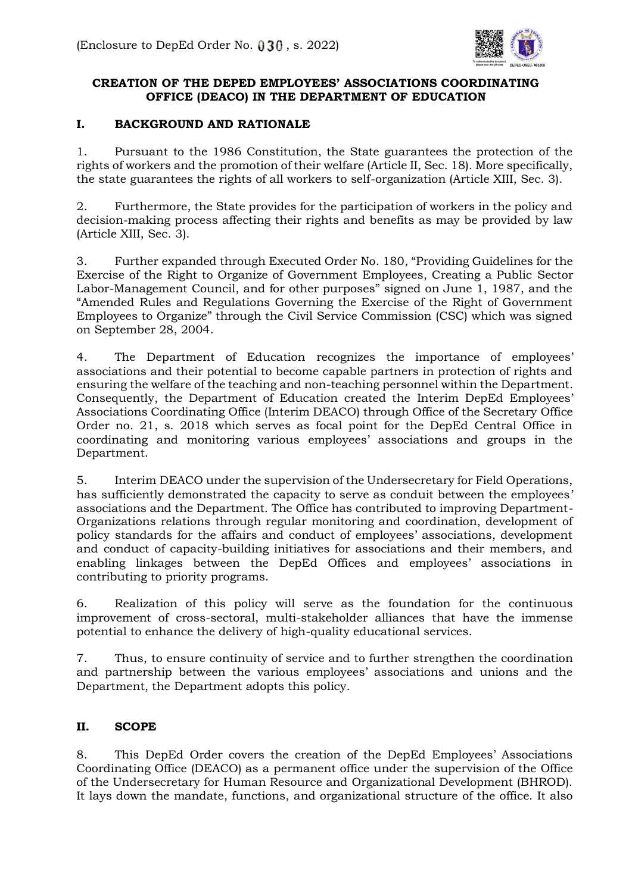

## **CREATION OF THE DEPED EMPLOYEES' ASSOCIATIONS COORDINATING OFFICE (DEACO) IN THE DEPARTMENT OF EDUCATION**

### **I. BACKGROUND AND RATIONALE**

1. Pursuant to the 1986 Constitution, the State guarantees the protection of the rights of workers and the promotion of their welfare (Article II, Sec. 18). More specifically, the state guarantees the rights of all workers to self-organization (Article XIII, Sec. 3).

2. Furthermore, the State provides for the participation of workers in the policy and decision-making process affecting their rights and benefits as may be provided by law (Article XIII, Sec. 3).

3. Further expanded through Executed Order No. 180, "Providing Guidelines for the Exercise of the Right to Organize of Government Employees, Creating a Public Sector Labor-Management Council, and for other purposes" signed on June 1, 1987, and the "Amended Rules and Regulations Governing the Exercise of the Right of Government Employees to Organize" through the Civil Service Commission (CSC) which was signed on September 28, 2004.

4. The Department of Education recognizes the importance of employees' associations and their potential to become capable partners in protection of rights and ensuring the welfare of the teaching and non-teaching personnel within the Department. Consequently, the Department of Education created the Interim DepEd Employees' Associations Coordinating Office (Interim DEACO) through Office of the Secretary Office Order no. 21, s. 2018 which serves as focal point for the DepEd Central Office in coordinating and monitoring various employees' associations and groups in the Department.

5. Interim DEACO under the supervision of the Undersecretary for Field Operations, has sufficiently demonstrated the capacity to serve as conduit between the employees' associations and the Department. The Office has contributed to improving Department-Organizations relations through regular monitoring and coordination, development of policy standards for the affairs and conduct of employees' associations, development and conduct of capacity-building initiatives for associations and their members, and enabling linkages between the DepEd Offices and employees' associations in contributing to priority programs.

6. Realization of this policy will serve as the foundation for the continuous improvement of cross-sectoral, multi-stakeholder alliances that have the immense potential to enhance the delivery of high-quality educational services.

7. Thus, to ensure continuity of service and to further strengthen the coordination and partnership between the various employees' associations and unions and the Department, the Department adopts this policy.

# **II. SCOPE**

8. This DepEd Order covers the creation of the DepEd Employees' Associations Coordinating Office (DEACO) as a permanent office under the supervision of the Office of the Undersecretary for Human Resource and Organizational Development (BHROD). It lays down the mandate, functions, and organizational structure of the office. It also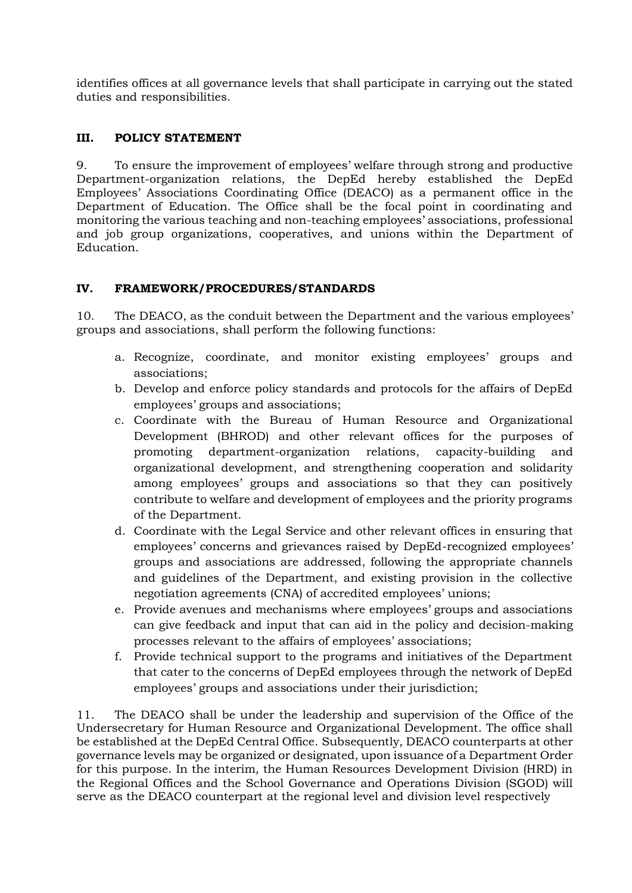identifies offices at all governance levels that shall participate in carrying out the stated duties and responsibilities.

## **III. POLICY STATEMENT**

9. To ensure the improvement of employees' welfare through strong and productive Department-organization relations, the DepEd hereby established the DepEd Employees' Associations Coordinating Office (DEACO) as a permanent office in the Department of Education. The Office shall be the focal point in coordinating and monitoring the various teaching and non-teaching employees' associations, professional and job group organizations, cooperatives, and unions within the Department of Education.

## **IV. FRAMEWORK/PROCEDURES/STANDARDS**

10. The DEACO, as the conduit between the Department and the various employees' groups and associations, shall perform the following functions:

- a. Recognize, coordinate, and monitor existing employees' groups and associations;
- b. Develop and enforce policy standards and protocols for the affairs of DepEd employees' groups and associations;
- c. Coordinate with the Bureau of Human Resource and Organizational Development (BHROD) and other relevant offices for the purposes of promoting department-organization relations, capacity-building and organizational development, and strengthening cooperation and solidarity among employees' groups and associations so that they can positively contribute to welfare and development of employees and the priority programs of the Department.
- d. Coordinate with the Legal Service and other relevant offices in ensuring that employees' concerns and grievances raised by DepEd-recognized employees' groups and associations are addressed, following the appropriate channels and guidelines of the Department, and existing provision in the collective negotiation agreements (CNA) of accredited employees' unions;
- e. Provide avenues and mechanisms where employees' groups and associations can give feedback and input that can aid in the policy and decision-making processes relevant to the affairs of employees' associations;
- f. Provide technical support to the programs and initiatives of the Department that cater to the concerns of DepEd employees through the network of DepEd employees' groups and associations under their jurisdiction;

11. The DEACO shall be under the leadership and supervision of the Office of the Undersecretary for Human Resource and Organizational Development. The office shall be established at the DepEd Central Office. Subsequently, DEACO counterparts at other governance levels may be organized or designated, upon issuance of a Department Order for this purpose. In the interim, the Human Resources Development Division (HRD) in the Regional Offices and the School Governance and Operations Division (SGOD) will serve as the DEACO counterpart at the regional level and division level respectively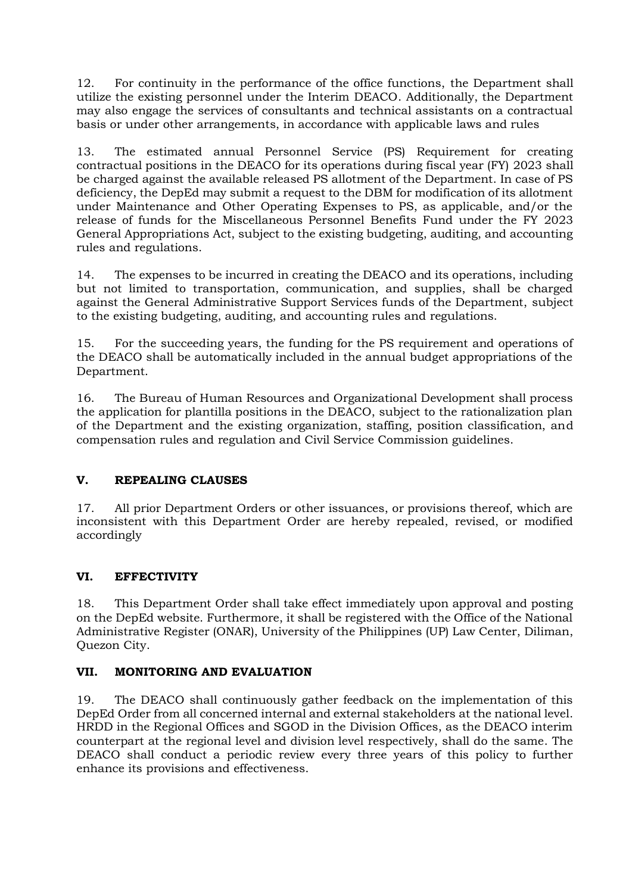12. For continuity in the performance of the office functions, the Department shall utilize the existing personnel under the Interim DEACO. Additionally, the Department may also engage the services of consultants and technical assistants on a contractual basis or under other arrangements, in accordance with applicable laws and rules

13. The estimated annual Personnel Service (PS) Requirement for creating contractual positions in the DEACO for its operations during fiscal year (FY) 2023 shall be charged against the available released PS allotment of the Department. In case of PS deficiency, the DepEd may submit a request to the DBM for modification of its allotment under Maintenance and Other Operating Expenses to PS, as applicable, and/or the release of funds for the Miscellaneous Personnel Benefits Fund under the FY 2023 General Appropriations Act, subject to the existing budgeting, auditing, and accounting rules and regulations.

14. The expenses to be incurred in creating the DEACO and its operations, including but not limited to transportation, communication, and supplies, shall be charged against the General Administrative Support Services funds of the Department, subject to the existing budgeting, auditing, and accounting rules and regulations.

15. For the succeeding years, the funding for the PS requirement and operations of the DEACO shall be automatically included in the annual budget appropriations of the Department.

16. The Bureau of Human Resources and Organizational Development shall process the application for plantilla positions in the DEACO, subject to the rationalization plan of the Department and the existing organization, staffing, position classification, and compensation rules and regulation and Civil Service Commission guidelines.

# **V. REPEALING CLAUSES**

17. All prior Department Orders or other issuances, or provisions thereof, which are inconsistent with this Department Order are hereby repealed, revised, or modified accordingly

#### **VI. EFFECTIVITY**

18. This Department Order shall take effect immediately upon approval and posting on the DepEd website. Furthermore, it shall be registered with the Office of the National Administrative Register (ONAR), University of the Philippines (UP) Law Center, Diliman, Quezon City.

#### **VII. MONITORING AND EVALUATION**

19. The DEACO shall continuously gather feedback on the implementation of this DepEd Order from all concerned internal and external stakeholders at the national level. HRDD in the Regional Offices and SGOD in the Division Offices, as the DEACO interim counterpart at the regional level and division level respectively, shall do the same. The DEACO shall conduct a periodic review every three years of this policy to further enhance its provisions and effectiveness.